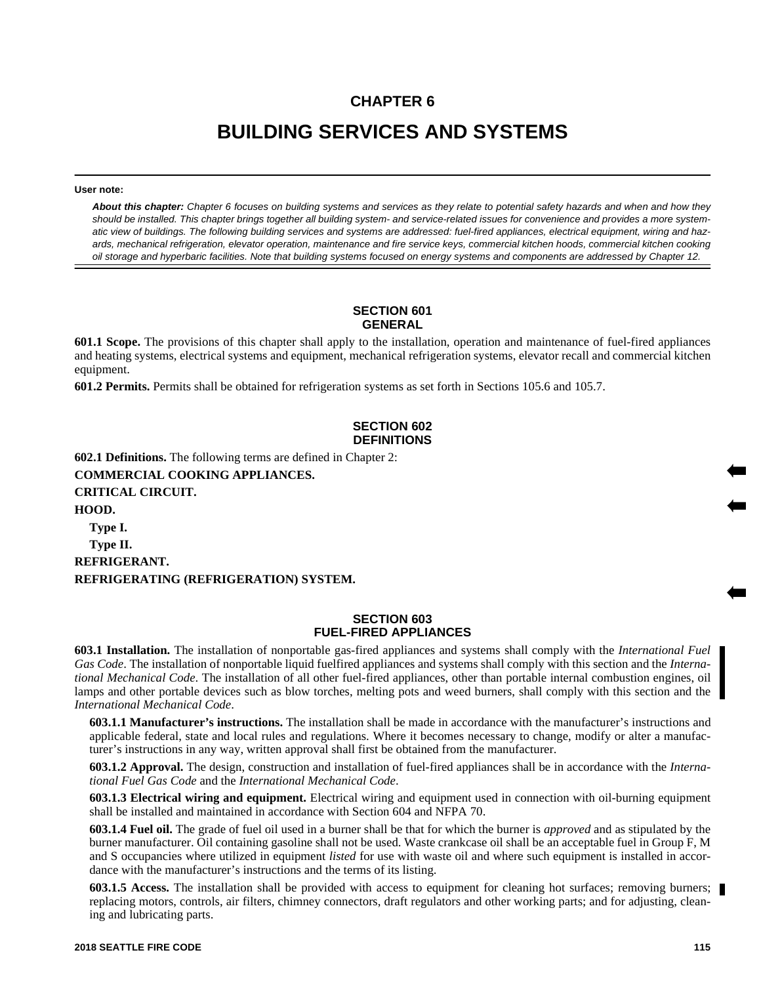# **CHAPTER 6**

# **BUILDING SERVICES AND SYSTEMS**

**User note:**

*About this chapter: Chapter 6 focuses on building systems and services as they relate to potential safety hazards and when and how they should be installed. This chapter brings together all building system- and service-related issues for convenience and provides a more systematic view of buildings. The following building services and systems are addressed: fuel-fired appliances, electrical equipment, wiring and hazards, mechanical refrigeration, elevator operation, maintenance and fire service keys, commercial kitchen hoods, commercial kitchen cooking oil storage and hyperbaric facilities. Note that building systems focused on energy systems and components are addressed by Chapter 12.*

#### **SECTION 601 GENERAL**

**601.1 Scope.** The provisions of this chapter shall apply to the installation, operation and maintenance of fuel-fired appliances and heating systems, electrical systems and equipment, mechanical refrigeration systems, elevator recall and commercial kitchen equipment.

**601.2 Permits.** Permits shall be obtained for refrigeration systems as set forth in Sections 105.6 and 105.7.

# **SECTION 602 DEFINITIONS**

**602.1 Definitions.** The following terms are defined in Chapter 2: **COMMERCIAL COOKING APPLIANCES. CRITICAL CIRCUIT. HOOD. Type I. Type II. REFRIGERANT. REFRIGERATING (REFRIGERATION) SYSTEM.**

## **SECTION 603 FUEL-FIRED APPLIANCES**

**603.1 Installation.** The installation of nonportable gas-fired appliances and systems shall comply with the *International Fuel Gas Code*. The installation of nonportable liquid fuelfired appliances and systems shall comply with this section and the *International Mechanical Code*. The installation of all other fuel-fired appliances, other than portable internal combustion engines, oil lamps and other portable devices such as blow torches, melting pots and weed burners, shall comply with this section and the *International Mechanical Code*.

**603.1.1 Manufacturer's instructions.** The installation shall be made in accordance with the manufacturer's instructions and applicable federal, state and local rules and regulations. Where it becomes necessary to change, modify or alter a manufacturer's instructions in any way, written approval shall first be obtained from the manufacturer.

**603.1.2 Approval.** The design, construction and installation of fuel-fired appliances shall be in accordance with the *International Fuel Gas Code* and the *International Mechanical Code*.

**603.1.3 Electrical wiring and equipment.** Electrical wiring and equipment used in connection with oil-burning equipment shall be installed and maintained in accordance with Section 604 and NFPA 70.

**603.1.4 Fuel oil.** The grade of fuel oil used in a burner shall be that for which the burner is *approved* and as stipulated by the burner manufacturer. Oil containing gasoline shall not be used. Waste crankcase oil shall be an acceptable fuel in Group F, M and S occupancies where utilized in equipment *listed* for use with waste oil and where such equipment is installed in accordance with the manufacturer's instructions and the terms of its listing.

**603.1.5 Access.** The installation shall be provided with access to equipment for cleaning hot surfaces; removing burners; replacing motors, controls, air filters, chimney connectors, draft regulators and other working parts; and for adjusting, cleaning and lubricating parts.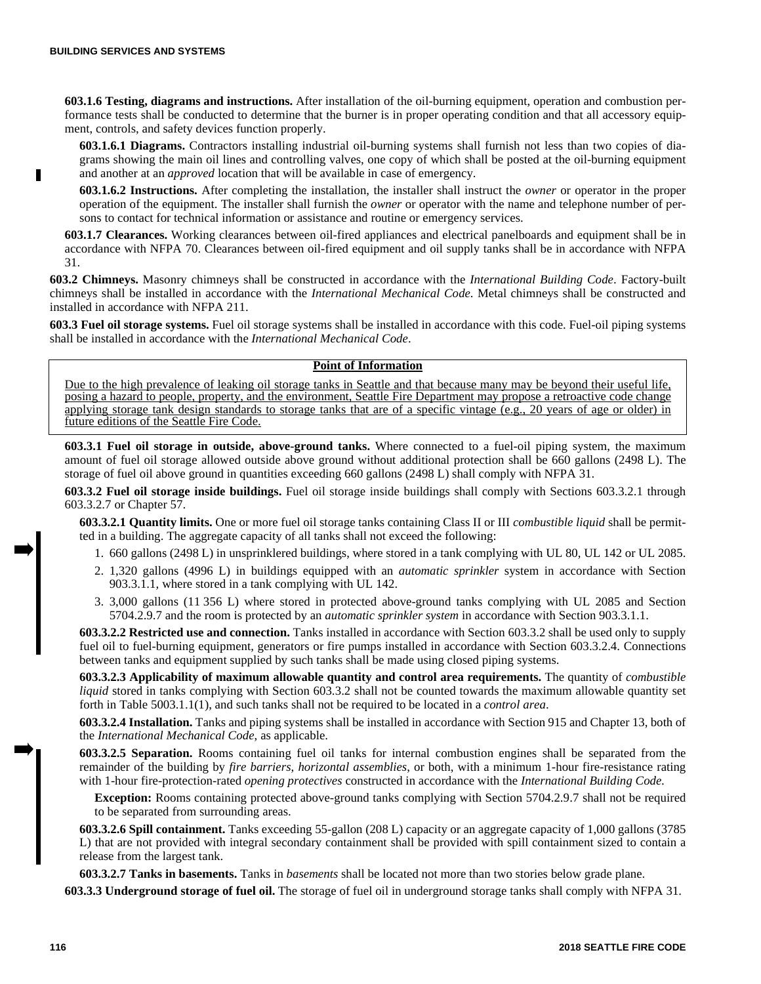**603.1.6 Testing, diagrams and instructions.** After installation of the oil-burning equipment, operation and combustion performance tests shall be conducted to determine that the burner is in proper operating condition and that all accessory equipment, controls, and safety devices function properly.

**603.1.6.1 Diagrams.** Contractors installing industrial oil-burning systems shall furnish not less than two copies of diagrams showing the main oil lines and controlling valves, one copy of which shall be posted at the oil-burning equipment and another at an *approved* location that will be available in case of emergency.

**603.1.6.2 Instructions.** After completing the installation, the installer shall instruct the *owner* or operator in the proper operation of the equipment. The installer shall furnish the *owner* or operator with the name and telephone number of persons to contact for technical information or assistance and routine or emergency services.

**603.1.7 Clearances.** Working clearances between oil-fired appliances and electrical panelboards and equipment shall be in accordance with NFPA 70. Clearances between oil-fired equipment and oil supply tanks shall be in accordance with NFPA 31.

**603.2 Chimneys.** Masonry chimneys shall be constructed in accordance with the *International Building Code*. Factory-built chimneys shall be installed in accordance with the *International Mechanical Code*. Metal chimneys shall be constructed and installed in accordance with NFPA 211.

**603.3 Fuel oil storage systems.** Fuel oil storage systems shall be installed in accordance with this code. Fuel-oil piping systems shall be installed in accordance with the *International Mechanical Code*.

#### **Point of Information**

Due to the high prevalence of leaking oil storage tanks in Seattle and that because many may be beyond their useful life, posing a hazard to people, property, and the environment, Seattle Fire Department may propose a retroactive code change applying storage tank design standards to storage tanks that are of a specific vintage (e.g., 20 years of age or older) in future editions of the Seattle Fire Code.

**603.3.1 Fuel oil storage in outside, above-ground tanks.** Where connected to a fuel-oil piping system, the maximum amount of fuel oil storage allowed outside above ground without additional protection shall be 660 gallons (2498 L). The storage of fuel oil above ground in quantities exceeding 660 gallons (2498 L) shall comply with NFPA 31.

**603.3.2 Fuel oil storage inside buildings.** Fuel oil storage inside buildings shall comply with Sections 603.3.2.1 through 603.3.2.7 or Chapter 57.

**603.3.2.1 Quantity limits.** One or more fuel oil storage tanks containing Class II or III *combustible liquid* shall be permitted in a building. The aggregate capacity of all tanks shall not exceed the following:

- 1. 660 gallons (2498 L) in unsprinklered buildings, where stored in a tank complying with UL 80, UL 142 or UL 2085.
- 2. 1,320 gallons (4996 L) in buildings equipped with an *automatic sprinkler* system in accordance with Section 903.3.1.1, where stored in a tank complying with UL 142.
- 3. 3,000 gallons (11 356 L) where stored in protected above-ground tanks complying with UL 2085 and Section 5704.2.9.7 and the room is protected by an *automatic sprinkler system* in accordance with Section 903.3.1.1.

**603.3.2.2 Restricted use and connection.** Tanks installed in accordance with Section 603.3.2 shall be used only to supply fuel oil to fuel-burning equipment, generators or fire pumps installed in accordance with Section 603.3.2.4. Connections between tanks and equipment supplied by such tanks shall be made using closed piping systems.

**603.3.2.3 Applicability of maximum allowable quantity and control area requirements.** The quantity of *combustible liquid* stored in tanks complying with Section 603.3.2 shall not be counted towards the maximum allowable quantity set forth in Table 5003.1.1(1), and such tanks shall not be required to be located in a *control area*.

**603.3.2.4 Installation.** Tanks and piping systems shall be installed in accordance with Section 915 and Chapter 13, both of the *International Mechanical Code*, as applicable.

**603.3.2.5 Separation.** Rooms containing fuel oil tanks for internal combustion engines shall be separated from the remainder of the building by *fire barriers*, *horizontal assemblies*, or both, with a minimum 1-hour fire-resistance rating with 1-hour fire-protection-rated *opening protectives* constructed in accordance with the *International Building Code.*

**Exception:** Rooms containing protected above-ground tanks complying with Section 5704.2.9.7 shall not be required to be separated from surrounding areas.

**603.3.2.6 Spill containment.** Tanks exceeding 55-gallon (208 L) capacity or an aggregate capacity of 1,000 gallons (3785 L) that are not provided with integral secondary containment shall be provided with spill containment sized to contain a release from the largest tank.

**603.3.2.7 Tanks in basements.** Tanks in *basements* shall be located not more than two stories below grade plane.

**603.3.3 Underground storage of fuel oil.** The storage of fuel oil in underground storage tanks shall comply with NFPA 31.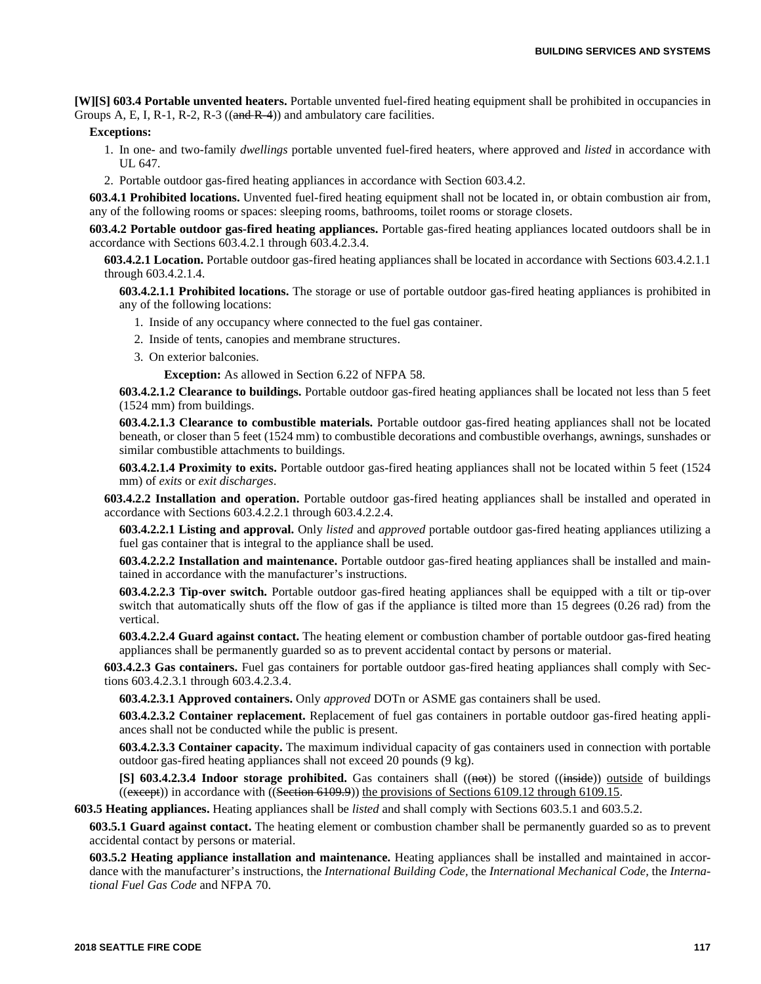**[W][S] 603.4 Portable unvented heaters.** Portable unvented fuel-fired heating equipment shall be prohibited in occupancies in Groups A, E, I, R-1, R-2, R-3 ( $(and R-4)$ ) and ambulatory care facilities.

#### **Exceptions:**

- 1. In one- and two-family *dwellings* portable unvented fuel-fired heaters, where approved and *listed* in accordance with UL 647.
- 2. Portable outdoor gas-fired heating appliances in accordance with Section 603.4.2.

**603.4.1 Prohibited locations.** Unvented fuel-fired heating equipment shall not be located in, or obtain combustion air from, any of the following rooms or spaces: sleeping rooms, bathrooms, toilet rooms or storage closets.

**603.4.2 Portable outdoor gas-fired heating appliances.** Portable gas-fired heating appliances located outdoors shall be in accordance with Sections 603.4.2.1 through 603.4.2.3.4.

**603.4.2.1 Location.** Portable outdoor gas-fired heating appliances shall be located in accordance with Sections 603.4.2.1.1 through 603.4.2.1.4.

**603.4.2.1.1 Prohibited locations.** The storage or use of portable outdoor gas-fired heating appliances is prohibited in any of the following locations:

- 1. Inside of any occupancy where connected to the fuel gas container.
- 2. Inside of tents, canopies and membrane structures.
- 3. On exterior balconies.

**Exception:** As allowed in Section 6.22 of NFPA 58.

**603.4.2.1.2 Clearance to buildings.** Portable outdoor gas-fired heating appliances shall be located not less than 5 feet (1524 mm) from buildings.

**603.4.2.1.3 Clearance to combustible materials.** Portable outdoor gas-fired heating appliances shall not be located beneath, or closer than 5 feet (1524 mm) to combustible decorations and combustible overhangs, awnings, sunshades or similar combustible attachments to buildings.

**603.4.2.1.4 Proximity to exits.** Portable outdoor gas-fired heating appliances shall not be located within 5 feet (1524 mm) of *exits* or *exit discharges*.

**603.4.2.2 Installation and operation.** Portable outdoor gas-fired heating appliances shall be installed and operated in accordance with Sections 603.4.2.2.1 through 603.4.2.2.4.

**603.4.2.2.1 Listing and approval.** Only *listed* and *approved* portable outdoor gas-fired heating appliances utilizing a fuel gas container that is integral to the appliance shall be used.

**603.4.2.2.2 Installation and maintenance.** Portable outdoor gas-fired heating appliances shall be installed and maintained in accordance with the manufacturer's instructions.

**603.4.2.2.3 Tip-over switch.** Portable outdoor gas-fired heating appliances shall be equipped with a tilt or tip-over switch that automatically shuts off the flow of gas if the appliance is tilted more than 15 degrees (0.26 rad) from the vertical.

**603.4.2.2.4 Guard against contact.** The heating element or combustion chamber of portable outdoor gas-fired heating appliances shall be permanently guarded so as to prevent accidental contact by persons or material.

**603.4.2.3 Gas containers.** Fuel gas containers for portable outdoor gas-fired heating appliances shall comply with Sections 603.4.2.3.1 through 603.4.2.3.4.

**603.4.2.3.1 Approved containers.** Only *approved* DOTn or ASME gas containers shall be used.

**603.4.2.3.2 Container replacement.** Replacement of fuel gas containers in portable outdoor gas-fired heating appliances shall not be conducted while the public is present.

**603.4.2.3.3 Container capacity.** The maximum individual capacity of gas containers used in connection with portable outdoor gas-fired heating appliances shall not exceed 20 pounds (9 kg).

[S] 603.4.2.3.4 Indoor storage prohibited. Gas containers shall ((not)) be stored ((inside)) outside of buildings  $(($ except $))$  in accordance with  $(($ Section 6109.9 $))$  the provisions of Sections 6109.12 through 6109.15.

**603.5 Heating appliances.** Heating appliances shall be *listed* and shall comply with Sections 603.5.1 and 603.5.2.

**603.5.1 Guard against contact.** The heating element or combustion chamber shall be permanently guarded so as to prevent accidental contact by persons or material.

**603.5.2 Heating appliance installation and maintenance.** Heating appliances shall be installed and maintained in accordance with the manufacturer's instructions, the *International Building Code,* the *International Mechanical Code,* the *International Fuel Gas Code* and NFPA 70.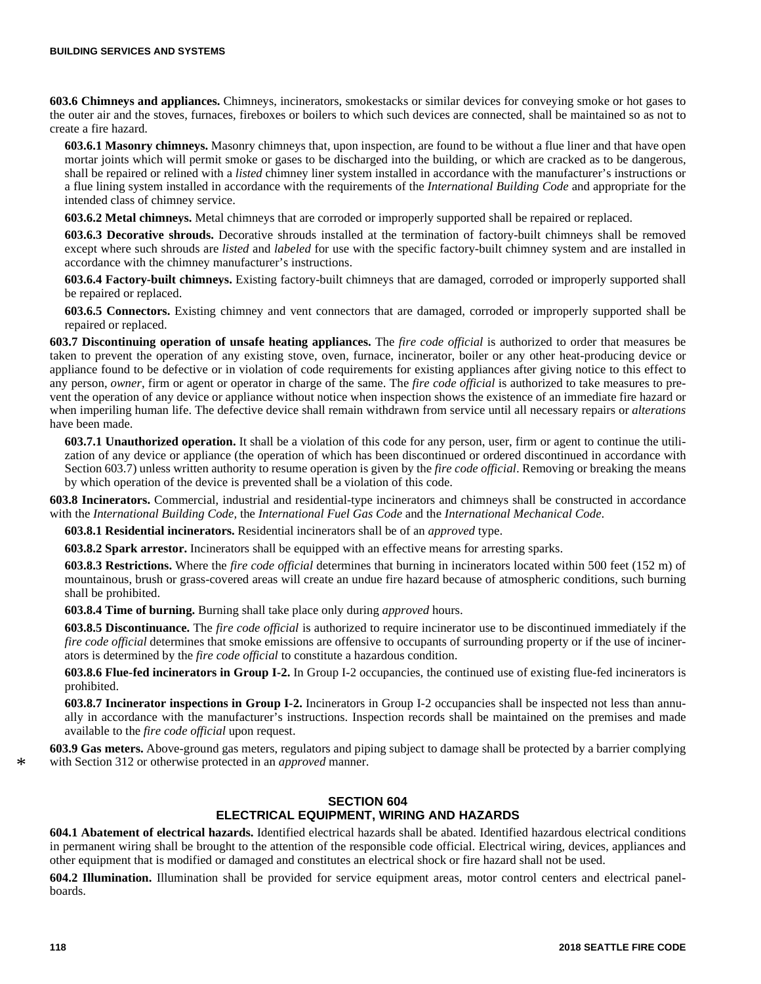**603.6 Chimneys and appliances.** Chimneys, incinerators, smokestacks or similar devices for conveying smoke or hot gases to the outer air and the stoves, furnaces, fireboxes or boilers to which such devices are connected, shall be maintained so as not to create a fire hazard.

**603.6.1 Masonry chimneys.** Masonry chimneys that, upon inspection, are found to be without a flue liner and that have open mortar joints which will permit smoke or gases to be discharged into the building, or which are cracked as to be dangerous, shall be repaired or relined with a *listed* chimney liner system installed in accordance with the manufacturer's instructions or a flue lining system installed in accordance with the requirements of the *International Building Code* and appropriate for the intended class of chimney service.

**603.6.2 Metal chimneys.** Metal chimneys that are corroded or improperly supported shall be repaired or replaced.

**603.6.3 Decorative shrouds.** Decorative shrouds installed at the termination of factory-built chimneys shall be removed except where such shrouds are *listed* and *labeled* for use with the specific factory-built chimney system and are installed in accordance with the chimney manufacturer's instructions.

**603.6.4 Factory-built chimneys.** Existing factory-built chimneys that are damaged, corroded or improperly supported shall be repaired or replaced.

**603.6.5 Connectors.** Existing chimney and vent connectors that are damaged, corroded or improperly supported shall be repaired or replaced.

**603.7 Discontinuing operation of unsafe heating appliances.** The *fire code official* is authorized to order that measures be taken to prevent the operation of any existing stove, oven, furnace, incinerator, boiler or any other heat-producing device or appliance found to be defective or in violation of code requirements for existing appliances after giving notice to this effect to any person, *owner*, firm or agent or operator in charge of the same. The *fire code official* is authorized to take measures to prevent the operation of any device or appliance without notice when inspection shows the existence of an immediate fire hazard or when imperiling human life. The defective device shall remain withdrawn from service until all necessary repairs or *alterations* have been made.

**603.7.1 Unauthorized operation.** It shall be a violation of this code for any person, user, firm or agent to continue the utilization of any device or appliance (the operation of which has been discontinued or ordered discontinued in accordance with Section 603.7) unless written authority to resume operation is given by the *fire code official*. Removing or breaking the means by which operation of the device is prevented shall be a violation of this code.

**603.8 Incinerators.** Commercial, industrial and residential-type incinerators and chimneys shall be constructed in accordance with the *International Building Code,* the *International Fuel Gas Code* and the *International Mechanical Code*.

**603.8.1 Residential incinerators.** Residential incinerators shall be of an *approved* type.

**603.8.2 Spark arrestor.** Incinerators shall be equipped with an effective means for arresting sparks.

**603.8.3 Restrictions.** Where the *fire code official* determines that burning in incinerators located within 500 feet (152 m) of mountainous, brush or grass-covered areas will create an undue fire hazard because of atmospheric conditions, such burning shall be prohibited.

**603.8.4 Time of burning.** Burning shall take place only during *approved* hours.

**603.8.5 Discontinuance.** The *fire code official* is authorized to require incinerator use to be discontinued immediately if the *fire code official* determines that smoke emissions are offensive to occupants of surrounding property or if the use of incinerators is determined by the *fire code official* to constitute a hazardous condition.

**603.8.6 Flue-fed incinerators in Group I-2.** In Group I-2 occupancies, the continued use of existing flue-fed incinerators is prohibited.

**603.8.7 Incinerator inspections in Group I-2.** Incinerators in Group I-2 occupancies shall be inspected not less than annually in accordance with the manufacturer's instructions. Inspection records shall be maintained on the premises and made available to the *fire code official* upon request.

**603.9 Gas meters.** Above-ground gas meters, regulators and piping subject to damage shall be protected by a barrier complying with Section 312 or otherwise protected in an *approved* manner.

# **SECTION 604 ELECTRICAL EQUIPMENT, WIRING AND HAZARDS**

**604.1 Abatement of electrical hazards.** Identified electrical hazards shall be abated. Identified hazardous electrical conditions in permanent wiring shall be brought to the attention of the responsible code official. Electrical wiring, devices, appliances and other equipment that is modified or damaged and constitutes an electrical shock or fire hazard shall not be used.

**604.2 Illumination.** Illumination shall be provided for service equipment areas, motor control centers and electrical panelboards.

\*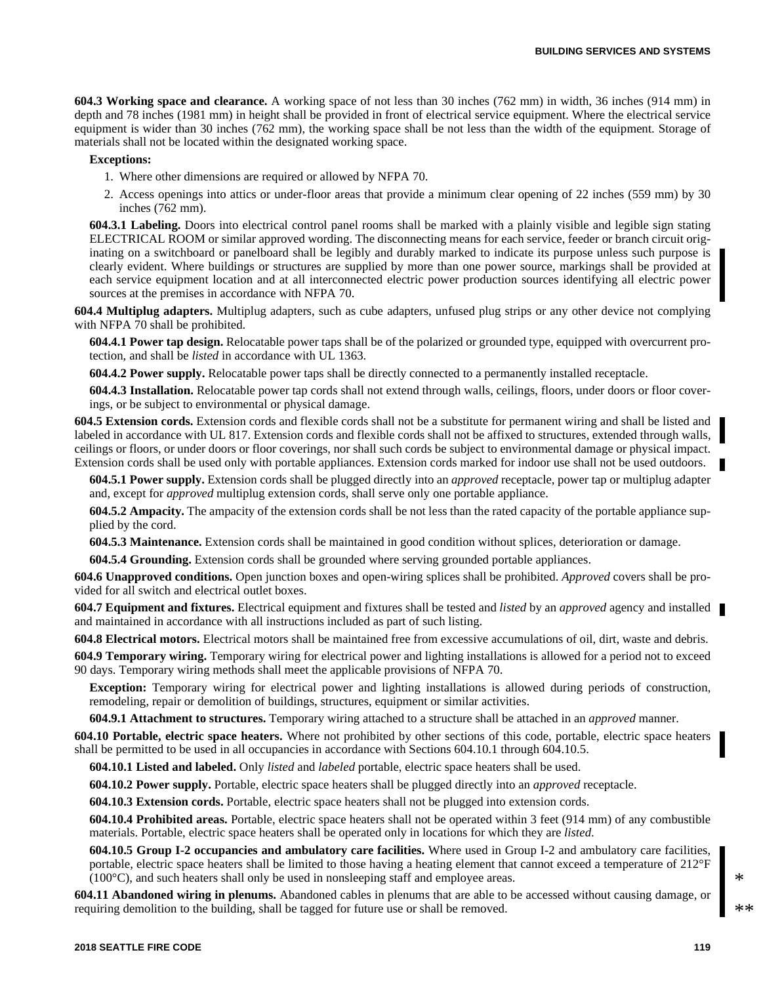**604.3 Working space and clearance.** A working space of not less than 30 inches (762 mm) in width, 36 inches (914 mm) in depth and 78 inches (1981 mm) in height shall be provided in front of electrical service equipment. Where the electrical service equipment is wider than 30 inches (762 mm), the working space shall be not less than the width of the equipment. Storage of materials shall not be located within the designated working space.

#### **Exceptions:**

- 1. Where other dimensions are required or allowed by NFPA 70.
- 2. Access openings into attics or under-floor areas that provide a minimum clear opening of 22 inches (559 mm) by 30 inches (762 mm).

**604.3.1 Labeling.** Doors into electrical control panel rooms shall be marked with a plainly visible and legible sign stating ELECTRICAL ROOM or similar approved wording. The disconnecting means for each service, feeder or branch circuit originating on a switchboard or panelboard shall be legibly and durably marked to indicate its purpose unless such purpose is clearly evident. Where buildings or structures are supplied by more than one power source, markings shall be provided at each service equipment location and at all interconnected electric power production sources identifying all electric power sources at the premises in accordance with NFPA 70.

**604.4 Multiplug adapters.** Multiplug adapters, such as cube adapters, unfused plug strips or any other device not complying with NFPA 70 shall be prohibited.

**604.4.1 Power tap design.** Relocatable power taps shall be of the polarized or grounded type, equipped with overcurrent protection, and shall be *listed* in accordance with UL 1363.

**604.4.2 Power supply.** Relocatable power taps shall be directly connected to a permanently installed receptacle.

**604.4.3 Installation.** Relocatable power tap cords shall not extend through walls, ceilings, floors, under doors or floor coverings, or be subject to environmental or physical damage.

**604.5 Extension cords.** Extension cords and flexible cords shall not be a substitute for permanent wiring and shall be listed and labeled in accordance with UL 817. Extension cords and flexible cords shall not be affixed to structures, extended through walls, ceilings or floors, or under doors or floor coverings, nor shall such cords be subject to environmental damage or physical impact. Extension cords shall be used only with portable appliances. Extension cords marked for indoor use shall not be used outdoors.

**604.5.1 Power supply.** Extension cords shall be plugged directly into an *approved* receptacle, power tap or multiplug adapter and, except for *approved* multiplug extension cords, shall serve only one portable appliance.

**604.5.2 Ampacity.** The ampacity of the extension cords shall be not less than the rated capacity of the portable appliance supplied by the cord.

**604.5.3 Maintenance.** Extension cords shall be maintained in good condition without splices, deterioration or damage.

**604.5.4 Grounding.** Extension cords shall be grounded where serving grounded portable appliances.

**604.6 Unapproved conditions.** Open junction boxes and open-wiring splices shall be prohibited. *Approved* covers shall be provided for all switch and electrical outlet boxes.

**604.7 Equipment and fixtures.** Electrical equipment and fixtures shall be tested and *listed* by an *approved* agency and installed and maintained in accordance with all instructions included as part of such listing.

**604.8 Electrical motors.** Electrical motors shall be maintained free from excessive accumulations of oil, dirt, waste and debris.

**604.9 Temporary wiring.** Temporary wiring for electrical power and lighting installations is allowed for a period not to exceed 90 days. Temporary wiring methods shall meet the applicable provisions of NFPA 70.

**Exception:** Temporary wiring for electrical power and lighting installations is allowed during periods of construction, remodeling, repair or demolition of buildings, structures, equipment or similar activities.

**604.9.1 Attachment to structures.** Temporary wiring attached to a structure shall be attached in an *approved* manner.

**604.10 Portable, electric space heaters.** Where not prohibited by other sections of this code, portable, electric space heaters shall be permitted to be used in all occupancies in accordance with Sections 604.10.1 through 604.10.5.

**604.10.1 Listed and labeled.** Only *listed* and *labeled* portable, electric space heaters shall be used.

**604.10.2 Power supply.** Portable, electric space heaters shall be plugged directly into an *approved* receptacle.

**604.10.3 Extension cords.** Portable, electric space heaters shall not be plugged into extension cords.

**604.10.4 Prohibited areas.** Portable, electric space heaters shall not be operated within 3 feet (914 mm) of any combustible materials. Portable, electric space heaters shall be operated only in locations for which they are *listed*.

**604.10.5 Group I-2 occupancies and ambulatory care facilities.** Where used in Group I-2 and ambulatory care facilities, portable, electric space heaters shall be limited to those having a heating element that cannot exceed a temperature of 212°F (100°C), and such heaters shall only be used in nonsleeping staff and employee areas.

**604.11 Abandoned wiring in plenums.** Abandoned cables in plenums that are able to be accessed without causing damage, or requiring demolition to the building, shall be tagged for future use or shall be removed.

\*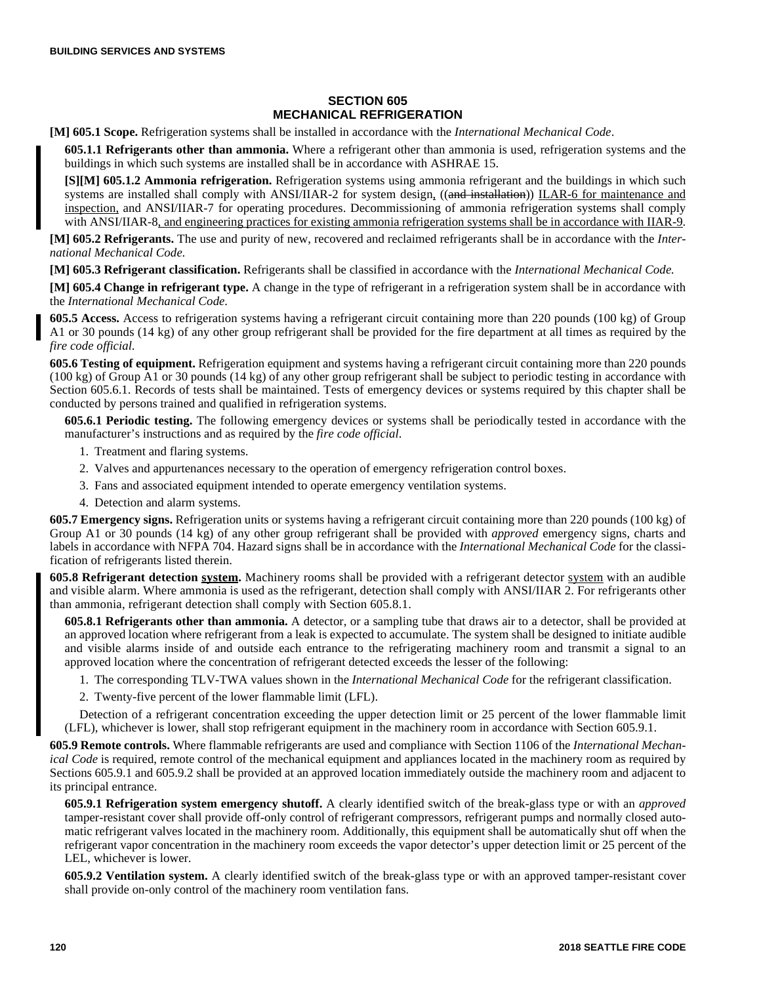# **SECTION 605 MECHANICAL REFRIGERATION**

**[M] 605.1 Scope.** Refrigeration systems shall be installed in accordance with the *International Mechanical Code*.

**605.1.1 Refrigerants other than ammonia.** Where a refrigerant other than ammonia is used, refrigeration systems and the buildings in which such systems are installed shall be in accordance with ASHRAE 15.

**[S][M] 605.1.2 Ammonia refrigeration.** Refrigeration systems using ammonia refrigerant and the buildings in which such systems are installed shall comply with ANSI/IIAR-2 for system design, ((and installation)) ILAR-6 for maintenance and inspection, and ANSI/IIAR-7 for operating procedures. Decommissioning of ammonia refrigeration systems shall comply with ANSI/IIAR-8, and engineering practices for existing ammonia refrigeration systems shall be in accordance with IIAR-9.

**[M] 605.2 Refrigerants.** The use and purity of new, recovered and reclaimed refrigerants shall be in accordance with the *International Mechanical Code*.

**[M] 605.3 Refrigerant classification.** Refrigerants shall be classified in accordance with the *International Mechanical Code.*

**[M] 605.4 Change in refrigerant type.** A change in the type of refrigerant in a refrigeration system shall be in accordance with the *International Mechanical Code*.

**605.5 Access.** Access to refrigeration systems having a refrigerant circuit containing more than 220 pounds (100 kg) of Group A1 or 30 pounds (14 kg) of any other group refrigerant shall be provided for the fire department at all times as required by the *fire code official*.

**605.6 Testing of equipment.** Refrigeration equipment and systems having a refrigerant circuit containing more than 220 pounds (100 kg) of Group A1 or 30 pounds (14 kg) of any other group refrigerant shall be subject to periodic testing in accordance with Section 605.6.1. Records of tests shall be maintained. Tests of emergency devices or systems required by this chapter shall be conducted by persons trained and qualified in refrigeration systems.

**605.6.1 Periodic testing.** The following emergency devices or systems shall be periodically tested in accordance with the manufacturer's instructions and as required by the *fire code official*.

- 1. Treatment and flaring systems.
- 2. Valves and appurtenances necessary to the operation of emergency refrigeration control boxes.
- 3. Fans and associated equipment intended to operate emergency ventilation systems.
- 4. Detection and alarm systems.

**605.7 Emergency signs.** Refrigeration units or systems having a refrigerant circuit containing more than 220 pounds (100 kg) of Group A1 or 30 pounds (14 kg) of any other group refrigerant shall be provided with *approved* emergency signs, charts and labels in accordance with NFPA 704. Hazard signs shall be in accordance with the *International Mechanical Code* for the classification of refrigerants listed therein.

**605.8 Refrigerant detection system.** Machinery rooms shall be provided with a refrigerant detector system with an audible and visible alarm. Where ammonia is used as the refrigerant, detection shall comply with ANSI/IIAR 2. For refrigerants other than ammonia, refrigerant detection shall comply with Section 605.8.1.

**605.8.1 Refrigerants other than ammonia.** A detector, or a sampling tube that draws air to a detector, shall be provided at an approved location where refrigerant from a leak is expected to accumulate. The system shall be designed to initiate audible and visible alarms inside of and outside each entrance to the refrigerating machinery room and transmit a signal to an approved location where the concentration of refrigerant detected exceeds the lesser of the following:

1. The corresponding TLV-TWA values shown in the *International Mechanical Code* for the refrigerant classification.

2. Twenty-five percent of the lower flammable limit (LFL).

Detection of a refrigerant concentration exceeding the upper detection limit or 25 percent of the lower flammable limit (LFL), whichever is lower, shall stop refrigerant equipment in the machinery room in accordance with Section 605.9.1.

**605.9 Remote controls.** Where flammable refrigerants are used and compliance with Section 1106 of the *International Mechanical Code* is required, remote control of the mechanical equipment and appliances located in the machinery room as required by Sections 605.9.1 and 605.9.2 shall be provided at an approved location immediately outside the machinery room and adjacent to its principal entrance.

**605.9.1 Refrigeration system emergency shutoff.** A clearly identified switch of the break-glass type or with an *approved* tamper-resistant cover shall provide off-only control of refrigerant compressors, refrigerant pumps and normally closed automatic refrigerant valves located in the machinery room. Additionally, this equipment shall be automatically shut off when the refrigerant vapor concentration in the machinery room exceeds the vapor detector's upper detection limit or 25 percent of the LEL, whichever is lower.

**605.9.2 Ventilation system.** A clearly identified switch of the break-glass type or with an approved tamper-resistant cover shall provide on-only control of the machinery room ventilation fans.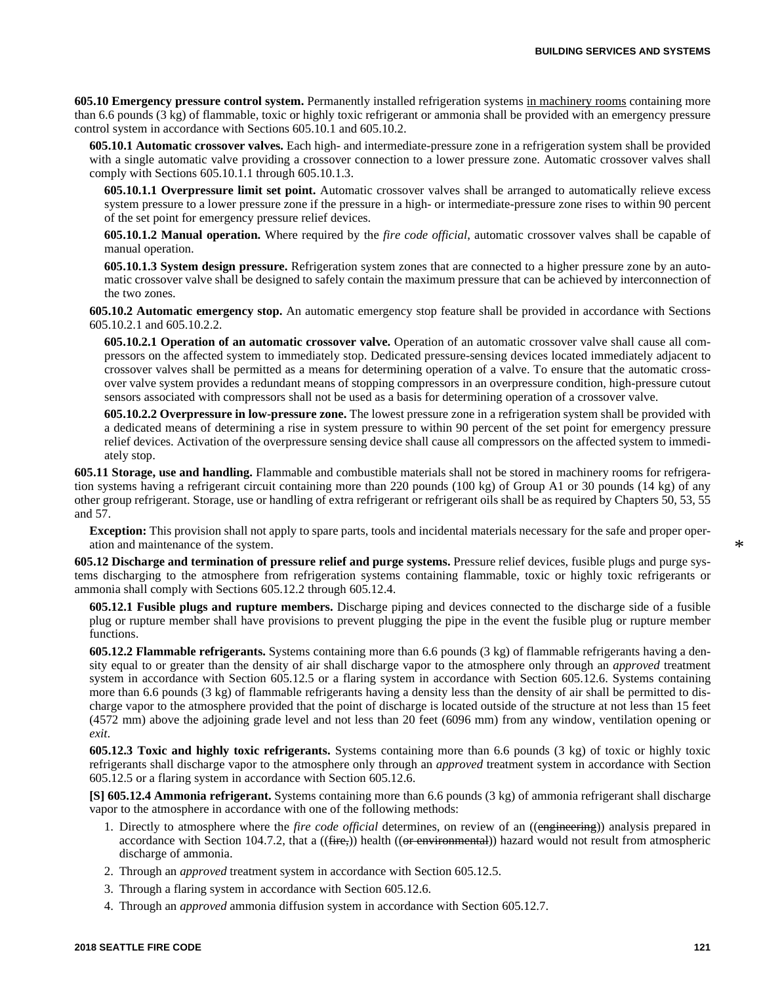**605.10 Emergency pressure control system.** Permanently installed refrigeration systems in machinery rooms containing more than 6.6 pounds (3 kg) of flammable, toxic or highly toxic refrigerant or ammonia shall be provided with an emergency pressure control system in accordance with Sections 605.10.1 and 605.10.2.

**605.10.1 Automatic crossover valves.** Each high- and intermediate-pressure zone in a refrigeration system shall be provided with a single automatic valve providing a crossover connection to a lower pressure zone. Automatic crossover valves shall comply with Sections 605.10.1.1 through 605.10.1.3.

**605.10.1.1 Overpressure limit set point.** Automatic crossover valves shall be arranged to automatically relieve excess system pressure to a lower pressure zone if the pressure in a high- or intermediate-pressure zone rises to within 90 percent of the set point for emergency pressure relief devices.

**605.10.1.2 Manual operation.** Where required by the *fire code official*, automatic crossover valves shall be capable of manual operation.

**605.10.1.3 System design pressure.** Refrigeration system zones that are connected to a higher pressure zone by an automatic crossover valve shall be designed to safely contain the maximum pressure that can be achieved by interconnection of the two zones.

**605.10.2 Automatic emergency stop.** An automatic emergency stop feature shall be provided in accordance with Sections 605.10.2.1 and 605.10.2.2.

**605.10.2.1 Operation of an automatic crossover valve.** Operation of an automatic crossover valve shall cause all compressors on the affected system to immediately stop. Dedicated pressure-sensing devices located immediately adjacent to crossover valves shall be permitted as a means for determining operation of a valve. To ensure that the automatic crossover valve system provides a redundant means of stopping compressors in an overpressure condition, high-pressure cutout sensors associated with compressors shall not be used as a basis for determining operation of a crossover valve.

**605.10.2.2 Overpressure in low-pressure zone.** The lowest pressure zone in a refrigeration system shall be provided with a dedicated means of determining a rise in system pressure to within 90 percent of the set point for emergency pressure relief devices. Activation of the overpressure sensing device shall cause all compressors on the affected system to immediately stop.

**605.11 Storage, use and handling.** Flammable and combustible materials shall not be stored in machinery rooms for refrigeration systems having a refrigerant circuit containing more than 220 pounds (100 kg) of Group A1 or 30 pounds (14 kg) of any other group refrigerant. Storage, use or handling of extra refrigerant or refrigerant oils shall be as required by Chapters 50, 53, 55 and 57.

**Exception:** This provision shall not apply to spare parts, tools and incidental materials necessary for the safe and proper operation and maintenance of the system.

**605.12 Discharge and termination of pressure relief and purge systems.** Pressure relief devices, fusible plugs and purge systems discharging to the atmosphere from refrigeration systems containing flammable, toxic or highly toxic refrigerants or ammonia shall comply with Sections 605.12.2 through 605.12.4.

**605.12.1 Fusible plugs and rupture members.** Discharge piping and devices connected to the discharge side of a fusible plug or rupture member shall have provisions to prevent plugging the pipe in the event the fusible plug or rupture member functions.

**605.12.2 Flammable refrigerants.** Systems containing more than 6.6 pounds (3 kg) of flammable refrigerants having a density equal to or greater than the density of air shall discharge vapor to the atmosphere only through an *approved* treatment system in accordance with Section 605.12.5 or a flaring system in accordance with Section 605.12.6. Systems containing more than 6.6 pounds (3 kg) of flammable refrigerants having a density less than the density of air shall be permitted to discharge vapor to the atmosphere provided that the point of discharge is located outside of the structure at not less than 15 feet (4572 mm) above the adjoining grade level and not less than 20 feet (6096 mm) from any window, ventilation opening or *exit*.

**605.12.3 Toxic and highly toxic refrigerants.** Systems containing more than 6.6 pounds (3 kg) of toxic or highly toxic refrigerants shall discharge vapor to the atmosphere only through an *approved* treatment system in accordance with Section 605.12.5 or a flaring system in accordance with Section 605.12.6.

**[S] 605.12.4 Ammonia refrigerant.** Systems containing more than 6.6 pounds (3 kg) of ammonia refrigerant shall discharge vapor to the atmosphere in accordance with one of the following methods:

- 1. Directly to atmosphere where the *fire code official* determines, on review of an ((engineering)) analysis prepared in accordance with Section 104.7.2, that a  $((\text{fire}))$  health  $((\text{or environmental}))$  hazard would not result from atmospheric discharge of ammonia.
- 2. Through an *approved* treatment system in accordance with Section 605.12.5.
- 3. Through a flaring system in accordance with Section 605.12.6.
- 4. Through an *approved* ammonia diffusion system in accordance with Section 605.12.7.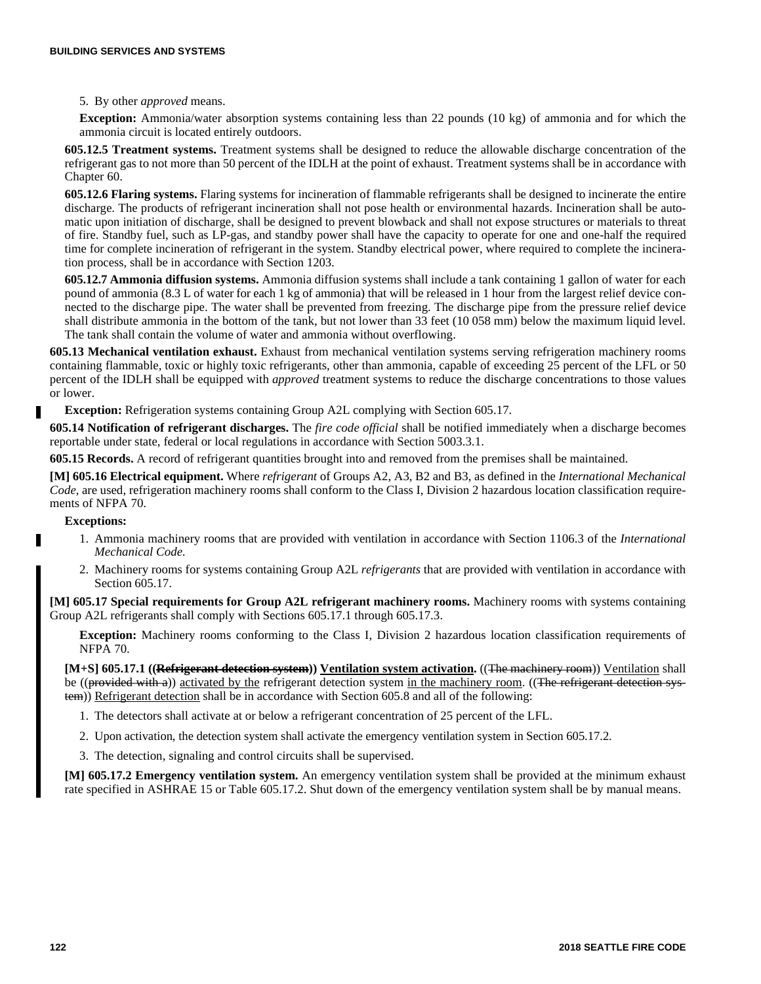### 5. By other *approved* means.

**Exception:** Ammonia/water absorption systems containing less than 22 pounds (10 kg) of ammonia and for which the ammonia circuit is located entirely outdoors.

**605.12.5 Treatment systems.** Treatment systems shall be designed to reduce the allowable discharge concentration of the refrigerant gas to not more than 50 percent of the IDLH at the point of exhaust. Treatment systems shall be in accordance with Chapter 60.

**605.12.6 Flaring systems.** Flaring systems for incineration of flammable refrigerants shall be designed to incinerate the entire discharge. The products of refrigerant incineration shall not pose health or environmental hazards. Incineration shall be automatic upon initiation of discharge, shall be designed to prevent blowback and shall not expose structures or materials to threat of fire. Standby fuel, such as LP-gas, and standby power shall have the capacity to operate for one and one-half the required time for complete incineration of refrigerant in the system. Standby electrical power, where required to complete the incineration process, shall be in accordance with Section 1203.

**605.12.7 Ammonia diffusion systems.** Ammonia diffusion systems shall include a tank containing 1 gallon of water for each pound of ammonia (8.3 L of water for each 1 kg of ammonia) that will be released in 1 hour from the largest relief device connected to the discharge pipe. The water shall be prevented from freezing. The discharge pipe from the pressure relief device shall distribute ammonia in the bottom of the tank, but not lower than 33 feet (10 058 mm) below the maximum liquid level. The tank shall contain the volume of water and ammonia without overflowing.

**605.13 Mechanical ventilation exhaust.** Exhaust from mechanical ventilation systems serving refrigeration machinery rooms containing flammable, toxic or highly toxic refrigerants, other than ammonia, capable of exceeding 25 percent of the LFL or 50 percent of the IDLH shall be equipped with *approved* treatment systems to reduce the discharge concentrations to those values or lower.

**Exception:** Refrigeration systems containing Group A2L complying with Section 605.17.

**605.14 Notification of refrigerant discharges.** The *fire code official* shall be notified immediately when a discharge becomes reportable under state, federal or local regulations in accordance with Section 5003.3.1.

**605.15 Records.** A record of refrigerant quantities brought into and removed from the premises shall be maintained.

**[M] 605.16 Electrical equipment.** Where *refrigerant* of Groups A2, A3, B2 and B3, as defined in the *International Mechanical Code,* are used, refrigeration machinery rooms shall conform to the Class I, Division 2 hazardous location classification requirements of NFPA 70.

### **Exceptions:**

- 1. Ammonia machinery rooms that are provided with ventilation in accordance with Section 1106.3 of the *International Mechanical Code*.
- 2. Machinery rooms for systems containing Group A2L *refrigerants* that are provided with ventilation in accordance with Section 605.17.

**[M] 605.17 Special requirements for Group A2L refrigerant machinery rooms.** Machinery rooms with systems containing Group A2L refrigerants shall comply with Sections 605.17.1 through 605.17.3.

**Exception:** Machinery rooms conforming to the Class I, Division 2 hazardous location classification requirements of NFPA 70.

**[M+S] 605.17.1 ((Refrigerant detection system)) Ventilation system activation.** ((The machinery room)) Ventilation shall be ((provided with a)) activated by the refrigerant detection system in the machinery room. ((The refrigerant detection system)) Refrigerant detection shall be in accordance with Section 605.8 and all of the following:

- 1. The detectors shall activate at or below a refrigerant concentration of 25 percent of the LFL.
- 2. Upon activation, the detection system shall activate the emergency ventilation system in Section 605.17.2.

3. The detection, signaling and control circuits shall be supervised.

**[M] 605.17.2 Emergency ventilation system.** An emergency ventilation system shall be provided at the minimum exhaust rate specified in ASHRAE 15 or Table 605.17.2. Shut down of the emergency ventilation system shall be by manual means.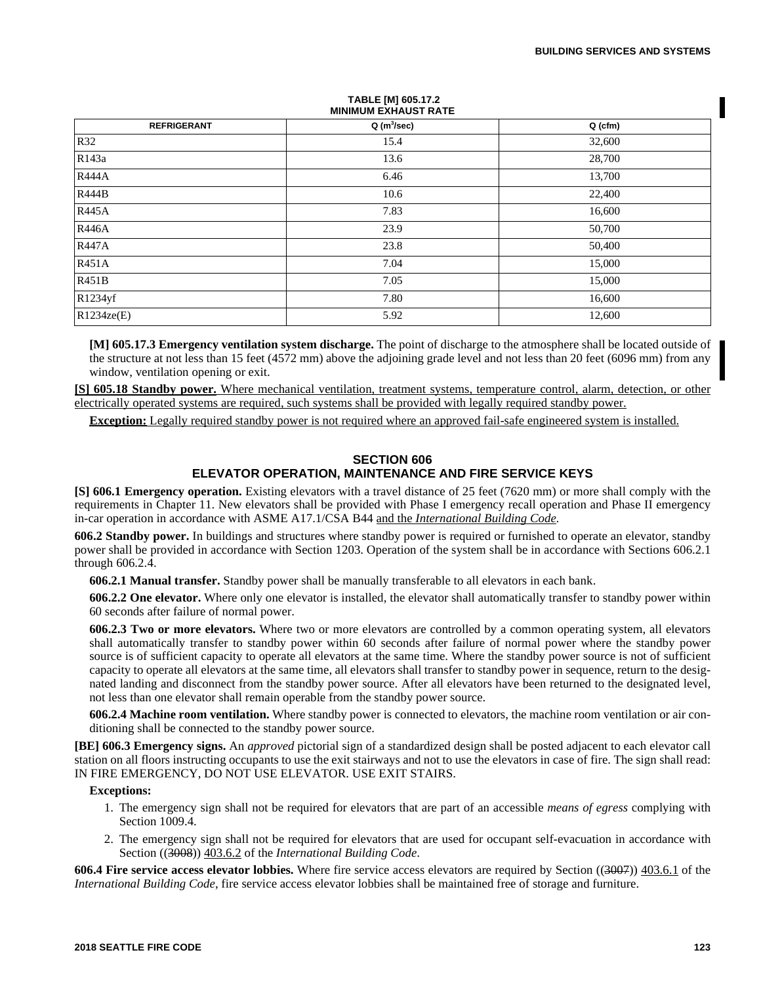# **MINIMUM EXHAUST RATE REFRIGERANT Q (m<sup>3</sup> /sec) Q (cfm)** R32  $\vert$  15.4  $\vert$  32,600 R143a 28,700 R444A **6.46** 13,700 R444B  $10.6$  22,400 R445A **16,600** R446A 23.9  $\begin{array}{|c|c|c|c|c|c|c|c|c|} \hline \text{R446A} & & & 50,700\ \hline \end{array}$ R447A 23.8  $\vert$  23.8  $\vert$  50,400  $R451A$  15,000 R451B 15,000 R1234yf 16,600  $R1234\text{ze}(E)$  12,600

**TABLE [M] 605.17.2**

**[M] 605.17.3 Emergency ventilation system discharge.** The point of discharge to the atmosphere shall be located outside of the structure at not less than 15 feet (4572 mm) above the adjoining grade level and not less than 20 feet (6096 mm) from any window, ventilation opening or exit.

**[S] 605.18 Standby power.** Where mechanical ventilation, treatment systems, temperature control, alarm, detection, or other electrically operated systems are required, such systems shall be provided with legally required standby power.

**Exception:** Legally required standby power is not required where an approved fail-safe engineered system is installed.

## **SECTION 606 ELEVATOR OPERATION, MAINTENANCE AND FIRE SERVICE KEYS**

**[S] 606.1 Emergency operation.** Existing elevators with a travel distance of 25 feet (7620 mm) or more shall comply with the requirements in Chapter 11. New elevators shall be provided with Phase I emergency recall operation and Phase II emergency in-car operation in accordance with ASME A17.1/CSA B44 and the *International Building Code.*

**606.2 Standby power.** In buildings and structures where standby power is required or furnished to operate an elevator, standby power shall be provided in accordance with Section 1203. Operation of the system shall be in accordance with Sections 606.2.1 through 606.2.4.

**606.2.1 Manual transfer.** Standby power shall be manually transferable to all elevators in each bank.

**606.2.2 One elevator.** Where only one elevator is installed, the elevator shall automatically transfer to standby power within 60 seconds after failure of normal power.

**606.2.3 Two or more elevators.** Where two or more elevators are controlled by a common operating system, all elevators shall automatically transfer to standby power within 60 seconds after failure of normal power where the standby power source is of sufficient capacity to operate all elevators at the same time. Where the standby power source is not of sufficient capacity to operate all elevators at the same time, all elevators shall transfer to standby power in sequence, return to the designated landing and disconnect from the standby power source. After all elevators have been returned to the designated level, not less than one elevator shall remain operable from the standby power source.

**606.2.4 Machine room ventilation.** Where standby power is connected to elevators, the machine room ventilation or air conditioning shall be connected to the standby power source.

**[BE] 606.3 Emergency signs.** An *approved* pictorial sign of a standardized design shall be posted adjacent to each elevator call station on all floors instructing occupants to use the exit stairways and not to use the elevators in case of fire. The sign shall read: IN FIRE EMERGENCY, DO NOT USE ELEVATOR. USE EXIT STAIRS.

### **Exceptions:**

- 1. The emergency sign shall not be required for elevators that are part of an accessible *means of egress* complying with Section 1009.4.
- 2. The emergency sign shall not be required for elevators that are used for occupant self-evacuation in accordance with Section ((3008)) 403.6.2 of the *International Building Code*.

**606.4 Fire service access elevator lobbies.** Where fire service access elevators are required by Section ((3007)) 403.6.1 of the *International Building Code*, fire service access elevator lobbies shall be maintained free of storage and furniture.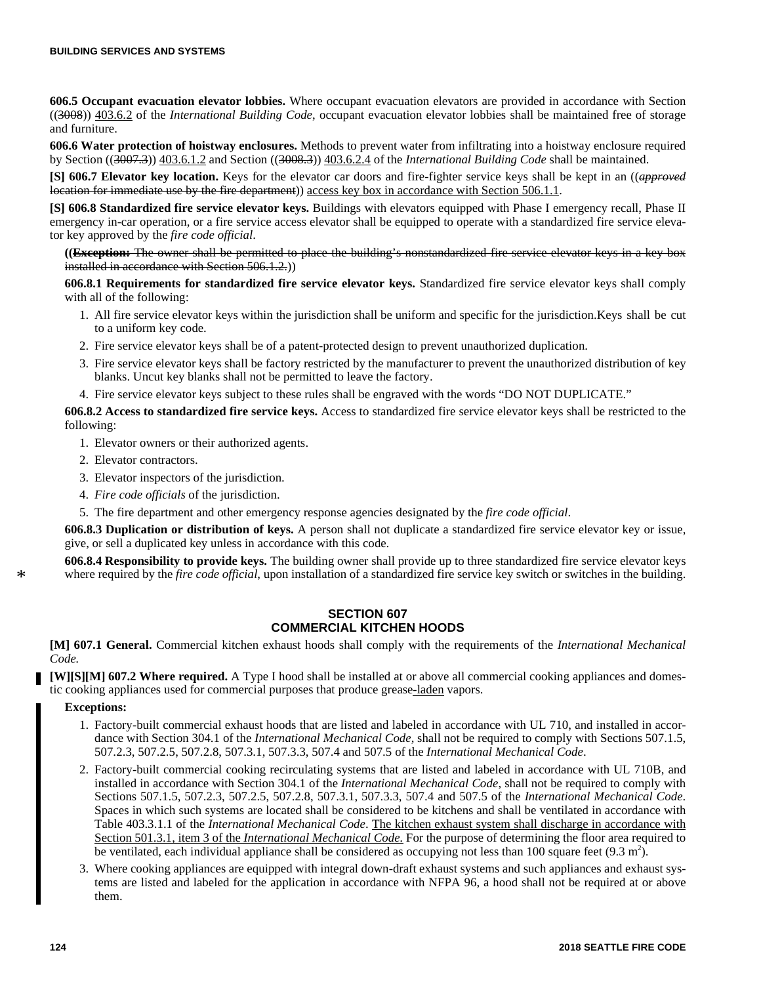**606.5 Occupant evacuation elevator lobbies.** Where occupant evacuation elevators are provided in accordance with Section ((3008)) 403.6.2 of the *International Building Code*, occupant evacuation elevator lobbies shall be maintained free of storage and furniture.

**606.6 Water protection of hoistway enclosures.** Methods to prevent water from infiltrating into a hoistway enclosure required by Section ((3007.3)) 403.6.1.2 and Section ((3008.3)) 403.6.2.4 of the *International Building Code* shall be maintained.

**[S] 606.7 Elevator key location.** Keys for the elevator car doors and fire-fighter service keys shall be kept in an ((*approved* location for immediate use by the fire department)) access key box in accordance with Section 506.1.1.

**[S] 606.8 Standardized fire service elevator keys.** Buildings with elevators equipped with Phase I emergency recall, Phase II emergency in-car operation, or a fire service access elevator shall be equipped to operate with a standardized fire service elevator key approved by the *fire code official*.

**((Exception:** The owner shall be permitted to place the building's nonstandardized fire service elevator keys in a key box installed in accordance with Section 506.1.2.)

**606.8.1 Requirements for standardized fire service elevator keys.** Standardized fire service elevator keys shall comply with all of the following:

- 1. All fire service elevator keys within the jurisdiction shall be uniform and specific for the jurisdiction.Keys shall be cut to a uniform key code.
- 2. Fire service elevator keys shall be of a patent-protected design to prevent unauthorized duplication.
- 3. Fire service elevator keys shall be factory restricted by the manufacturer to prevent the unauthorized distribution of key blanks. Uncut key blanks shall not be permitted to leave the factory.
- 4. Fire service elevator keys subject to these rules shall be engraved with the words "DO NOT DUPLICATE."

**606.8.2 Access to standardized fire service keys.** Access to standardized fire service elevator keys shall be restricted to the following:

- 1. Elevator owners or their authorized agents.
- 2. Elevator contractors.
- 3. Elevator inspectors of the jurisdiction.
- 4. *Fire code officials* of the jurisdiction.
- 5. The fire department and other emergency response agencies designated by the *fire code official*.

**606.8.3 Duplication or distribution of keys.** A person shall not duplicate a standardized fire service elevator key or issue, give, or sell a duplicated key unless in accordance with this code.

**606.8.4 Responsibility to provide keys.** The building owner shall provide up to three standardized fire service elevator keys where required by the *fire code official*, upon installation of a standardized fire service key switch or switches in the building.

## **SECTION 607 COMMERCIAL KITCHEN HOODS**

**[M] 607.1 General.** Commercial kitchen exhaust hoods shall comply with the requirements of the *International Mechanical Code.*

**[W][S][M] 607.2 Where required.** A Type I hood shall be installed at or above all commercial cooking appliances and domestic cooking appliances used for commercial purposes that produce grease-laden vapors.

#### **Exceptions:**

\*

- 1. Factory-built commercial exhaust hoods that are listed and labeled in accordance with UL 710, and installed in accordance with Section 304.1 of the *International Mechanical Code*, shall not be required to comply with Sections 507.1.5, 507.2.3, 507.2.5, 507.2.8, 507.3.1, 507.3.3, 507.4 and 507.5 of the *International Mechanical Code*.
- 2. Factory-built commercial cooking recirculating systems that are listed and labeled in accordance with UL 710B, and installed in accordance with Section 304.1 of the *International Mechanical Code*, shall not be required to comply with Sections 507.1.5, 507.2.3, 507.2.5, 507.2.8, 507.3.1, 507.3.3, 507.4 and 507.5 of the *International Mechanical Code*. Spaces in which such systems are located shall be considered to be kitchens and shall be ventilated in accordance with Table 403.3.1.1 of the *International Mechanical Code*. The kitchen exhaust system shall discharge in accordance with Section 501.3.1, item 3 of the *International Mechanical Code.* For the purpose of determining the floor area required to be ventilated, each individual appliance shall be considered as occupying not less than 100 square feet  $(9.3 \text{ m}^2)$ .
- 3. Where cooking appliances are equipped with integral down-draft exhaust systems and such appliances and exhaust systems are listed and labeled for the application in accordance with NFPA 96, a hood shall not be required at or above them.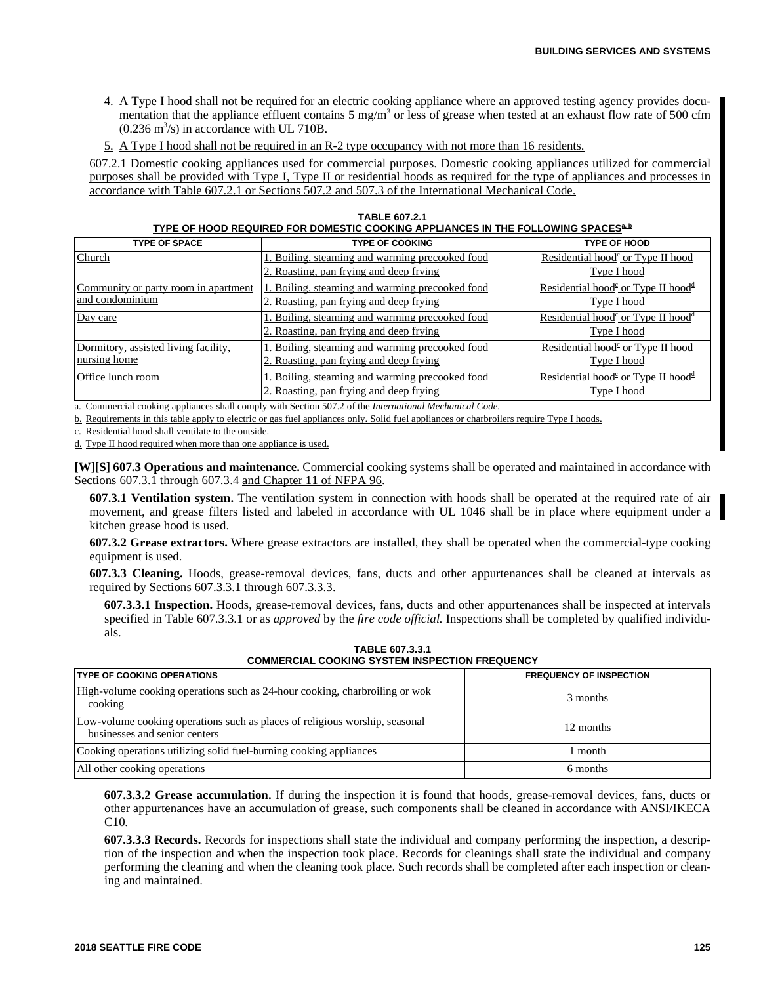- 4. A Type I hood shall not be required for an electric cooking appliance where an approved testing agency provides documentation that the appliance effluent contains  $5 \text{ mg/m}^3$  or less of grease when tested at an exhaust flow rate of 500 cfm  $(0.236 \text{ m}^3/\text{s})$  in accordance with UL 710B.
- 5. A Type I hood shall not be required in an R-2 type occupancy with not more than 16 residents.

607.2.1 Domestic cooking appliances used for commercial purposes. Domestic cooking appliances utilized for commercial purposes shall be provided with Type I, Type II or residential hoods as required for the type of appliances and processes in accordance with Table 607.2.1 or Sections 507.2 and 507.3 of the International Mechanical Code.

| <b>TABLE 607.2.1</b>                                                                                |
|-----------------------------------------------------------------------------------------------------|
| TYPE OF HOOD REQUIRED FOR DOMESTIC COOKING APPLIANCES IN THE FOLLOWING SPACES <sup>&amp;&amp;</sup> |

| <b>TYPE OF SPACE</b>                 | <b>TYPE OF COOKING</b>                         | <b>TYPE OF HOOD</b>                                                                         |
|--------------------------------------|------------------------------------------------|---------------------------------------------------------------------------------------------|
| Church                               | . Boiling, steaming and warming precooked food | Residential hood <sup><math>\epsilon</math></sup> or Type II hood                           |
|                                      | 2. Roasting, pan frying and deep frying        | Type I hood                                                                                 |
| Community or party room in apartment | . Boiling, steaming and warming precooked food | Residential hood <sup><math>\epsilon</math></sup> or Type II hood <sup><math>d</math></sup> |
| and condominium                      | 2. Roasting, pan frying and deep frying        | Type I hood                                                                                 |
| Day care                             | Boiling, steaming and warming precooked food   | Residential hood <sup><math>\epsilon</math></sup> or Type II hood <sup><math>d</math></sup> |
|                                      | 2. Roasting, pan frying and deep frying        | Type I hood                                                                                 |
| Dormitory, assisted living facility, | Boiling, steaming and warming precooked food   | Residential hood <sup><math>\epsilon</math></sup> or Type II hood                           |
| nursing home                         | 2. Roasting, pan frying and deep frying        | Type I hood                                                                                 |
| Office lunch room                    | . Boiling, steaming and warming precooked food | Residential hood <sup>c</sup> or Type II hood <sup>d</sup>                                  |
|                                      | 2. Roasting, pan frying and deep frying        | Type I hood                                                                                 |

a. Commercial cooking appliances shall comply with Section 507.2 of the *International Mechanical Code.*

b. Requirements in this table apply to electric or gas fuel appliances only. Solid fuel appliances or charbroilers require Type I hoods.

c. Residential hood shall ventilate to the outside.

d. Type II hood required when more than one appliance is used.

**[W][S] 607.3 Operations and maintenance.** Commercial cooking systems shall be operated and maintained in accordance with Sections 607.3.1 through 607.3.4 and Chapter 11 of NFPA 96.

**607.3.1 Ventilation system.** The ventilation system in connection with hoods shall be operated at the required rate of air movement, and grease filters listed and labeled in accordance with UL 1046 shall be in place where equipment under a kitchen grease hood is used.

**607.3.2 Grease extractors.** Where grease extractors are installed, they shall be operated when the commercial-type cooking equipment is used.

**607.3.3 Cleaning.** Hoods, grease-removal devices, fans, ducts and other appurtenances shall be cleaned at intervals as required by Sections 607.3.3.1 through 607.3.3.3.

**607.3.3.1 Inspection.** Hoods, grease-removal devices, fans, ducts and other appurtenances shall be inspected at intervals specified in Table 607.3.3.1 or as *approved* by the *fire code official.* Inspections shall be completed by qualified individuals.

| <b>COMMERCIAL COORING STSTEM INSPECTION FREQUENCT</b>                                                        |                                |  |
|--------------------------------------------------------------------------------------------------------------|--------------------------------|--|
| <b>ITYPE OF COOKING OPERATIONS</b>                                                                           | <b>FREQUENCY OF INSPECTION</b> |  |
| High-volume cooking operations such as 24-hour cooking, charbroiling or wok<br>cooking                       | 3 months                       |  |
| Low-volume cooking operations such as places of religious worship, seasonal<br>businesses and senior centers | 12 months                      |  |
| Cooking operations utilizing solid fuel-burning cooking appliances                                           | month                          |  |
| All other cooking operations                                                                                 | 6 months                       |  |

**TABLE 607.3.3.1 COMMERCIAL COOKING SYSTEM INSPECTION FREQUENCY**

**607.3.3.2 Grease accumulation.** If during the inspection it is found that hoods, grease-removal devices, fans, ducts or other appurtenances have an accumulation of grease, such components shall be cleaned in accordance with ANSI/IKECA C10.

**607.3.3.3 Records.** Records for inspections shall state the individual and company performing the inspection, a description of the inspection and when the inspection took place. Records for cleanings shall state the individual and company performing the cleaning and when the cleaning took place. Such records shall be completed after each inspection or cleaning and maintained.